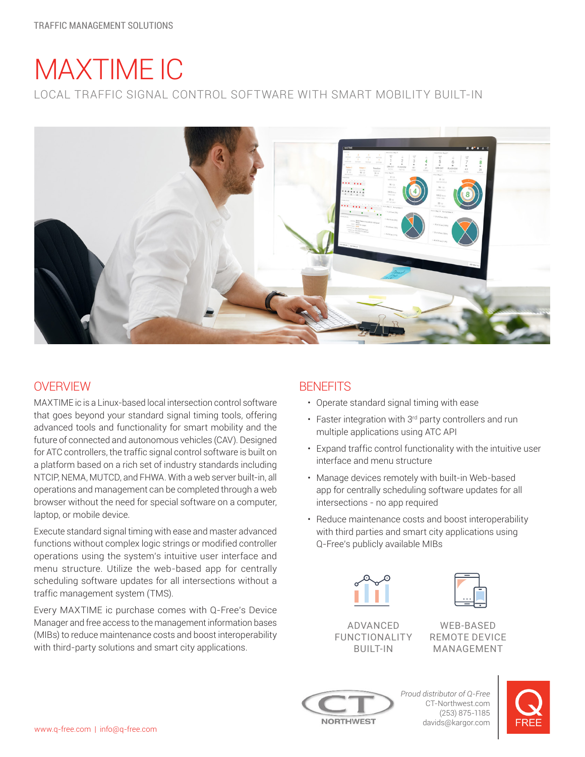# MAXTIME IC

LOCAL TRAFFIC SIGNAL CONTROL SOFTWARE WITH SMART MOBILITY BUILT-IN



# **OVERVIEW**

MAXTIME ic is a Linux-based local intersection control software that goes beyond your standard signal timing tools, offering advanced tools and functionality for smart mobility and the future of connected and autonomous vehicles (CAV). Designed for ATC controllers, the traffic signal control software is built on a platform based on a rich set of industry standards including NTCIP, NEMA, MUTCD, and FHWA. With a web server built-in, all operations and management can be completed through a web browser without the need for special software on a computer, laptop, or mobile device.

Execute standard signal timing with ease and master advanced functions without complex logic strings or modified controller operations using the system's intuitive user interface and menu structure. Utilize the web-based app for centrally scheduling software updates for all intersections without a traffic management system (TMS).

Every MAXTIME ic purchase comes with Q-Free's Device Manager and free access to the management information bases (MIBs) to reduce maintenance costs and boost interoperability with third-party solutions and smart city applications.

## **BENFFITS**

- Operate standard signal timing with ease
- Faster integration with 3rd party controllers and run multiple applications using ATC API
- Expand traffic control functionality with the intuitive user interface and menu structure
- Manage devices remotely with built-in Web-based app for centrally scheduling software updates for all intersections - no app required
- Reduce maintenance costs and boost interoperability with third parties and smart city applications using Q-Free's publicly available MIBs





ADVANCED FUNCTIONALITY BUILT-IN

WEB-BASED REMOTE DEVICE MANAGEMENT



*Proud distributor of Q-Free* CT-Northwest.com (253) 875-1185 davids@kargor.com